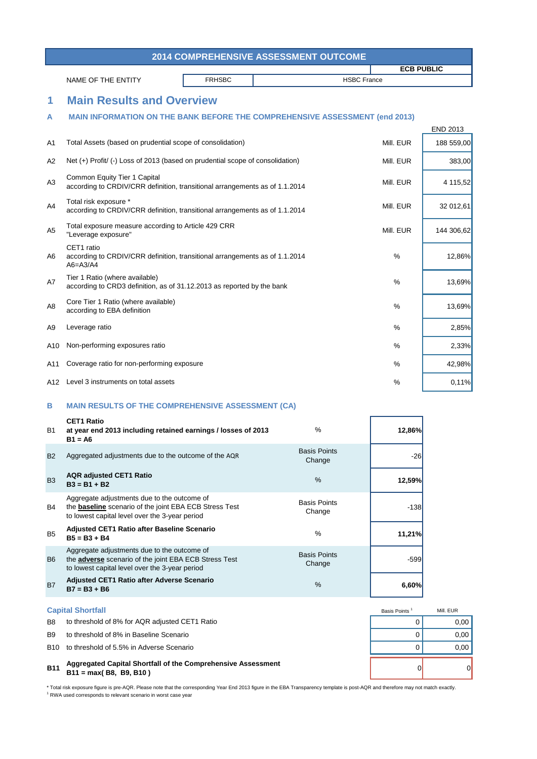\* Total risk exposure figure is pre-AQR. Please note that the corresponding Year End 2013 figure in the EBA Transparency template is post-AQR and therefore may not match exactly. <sup>1</sup> RWA used corresponds to relevant scenario in worst case year



| 2014 COMPREHENSIVE ASSESSMENT OUTCOME |                                                                                                                                                                |               |                               |                    |                 |  |  |
|---------------------------------------|----------------------------------------------------------------------------------------------------------------------------------------------------------------|---------------|-------------------------------|--------------------|-----------------|--|--|
|                                       |                                                                                                                                                                |               |                               | <b>ECB PUBLIC</b>  |                 |  |  |
|                                       | NAME OF THE ENTITY                                                                                                                                             | <b>FRHSBC</b> |                               | <b>HSBC France</b> |                 |  |  |
| 1                                     | <b>Main Results and Overview</b>                                                                                                                               |               |                               |                    |                 |  |  |
| A                                     | <b>MAIN INFORMATION ON THE BANK BEFORE THE COMPREHENSIVE ASSESSMENT (end 2013)</b>                                                                             |               |                               |                    |                 |  |  |
|                                       |                                                                                                                                                                |               |                               |                    | <b>END 2013</b> |  |  |
| A <sub>1</sub>                        | Total Assets (based on prudential scope of consolidation)                                                                                                      |               |                               | Mill. EUR          | 188 559,00      |  |  |
| A2                                    | Net (+) Profit/ (-) Loss of 2013 (based on prudential scope of consolidation)                                                                                  |               |                               | Mill. EUR          | 383,00          |  |  |
| A3                                    | <b>Common Equity Tier 1 Capital</b><br>according to CRDIV/CRR definition, transitional arrangements as of 1.1.2014                                             |               |                               |                    | 4 115,52        |  |  |
| A4                                    | Total risk exposure *<br>according to CRDIV/CRR definition, transitional arrangements as of 1.1.2014                                                           |               |                               | Mill. EUR          | 32 012,61       |  |  |
| A <sub>5</sub>                        | Total exposure measure according to Article 429 CRR<br>"Leverage exposure"                                                                                     |               |                               | Mill. EUR          | 144 306,62      |  |  |
| A6                                    | CET1 ratio<br>according to CRDIV/CRR definition, transitional arrangements as of 1.1.2014<br>$A6 = A3/A4$                                                      |               |                               | %                  | 12,86%          |  |  |
| A7                                    | Tier 1 Ratio (where available)<br>according to CRD3 definition, as of 31.12.2013 as reported by the bank                                                       |               |                               | $\%$               | 13,69%          |  |  |
| A <sub>8</sub>                        | Core Tier 1 Ratio (where available)<br>according to EBA definition                                                                                             |               |                               | $\%$               | 13,69%          |  |  |
| A9                                    | Leverage ratio                                                                                                                                                 |               |                               | $\frac{0}{0}$      | 2,85%           |  |  |
| A10                                   | Non-performing exposures ratio                                                                                                                                 |               |                               | $\%$               | 2,33%           |  |  |
| A11                                   | Coverage ratio for non-performing exposure                                                                                                                     |               |                               | %                  | 42,98%          |  |  |
| A12                                   | Level 3 instruments on total assets                                                                                                                            |               |                               | $\%$               | 0,11%           |  |  |
| B                                     | <b>MAIN RESULTS OF THE COMPREHENSIVE ASSESSMENT (CA)</b>                                                                                                       |               |                               |                    |                 |  |  |
| <b>B1</b>                             | <b>CET1 Ratio</b><br>at year end 2013 including retained earnings / losses of 2013<br>$B1 = A6$                                                                |               | %                             | 12,86%             |                 |  |  |
| <b>B2</b>                             | Aggregated adjustments due to the outcome of the AQR                                                                                                           |               | <b>Basis Points</b><br>Change | $-26$              |                 |  |  |
| B <sub>3</sub>                        | <b>AQR adjusted CET1 Ratio</b><br>$B3 = B1 + B2$                                                                                                               |               | %                             | 12,59%             |                 |  |  |
| <b>B4</b>                             | Aggregate adjustments due to the outcome of<br>the <b>baseline</b> scenario of the joint EBA ECB Stress Test<br>to lowest capital level over the 3-year period |               | <b>Basis Points</b><br>Change | $-138$             |                 |  |  |
| B <sub>5</sub>                        | <b>Adjusted CET1 Ratio after Baseline Scenario</b><br>$B5 = B3 + B4$                                                                                           |               | %                             | 11,21%             |                 |  |  |
| B <sub>6</sub>                        | Aggregate adjustments due to the outcome of<br>the <b>adverse</b> scenario of the joint EBA ECB Stress Test<br>to lowest capital level over the 3-year period  |               | <b>Basis Points</b><br>Change | $-599$             |                 |  |  |

## B7 **6,60% Adjusted CET1 Ratio after Adverse Scenario B7 = B3 + B6** %

## **B11** 0 0 **Aggregated Capital Shortfall of the Comprehensive Assessment B11 = max( B8, B9, B10 )**

## **Capital Shortfall**

- B8 to threshold of 8% for AQR adjusted CET1 Ratio **EXAMPLE 10 CONSTRESS CONSTRESS OF A CONSTRESS CONSTRESS CONSTR**
- B9 to threshold of 8% in Baseline Scenario and the state of the state of the state of the state of the state of the state of the state of the state of the state of the state of the state of the state of the state of the st
- B10 to threshold of 5.5% in Adverse Scenario and the state of the state of the state of the state of the state of the state of the state of the state of the state of the state of the state of the state of the state of the